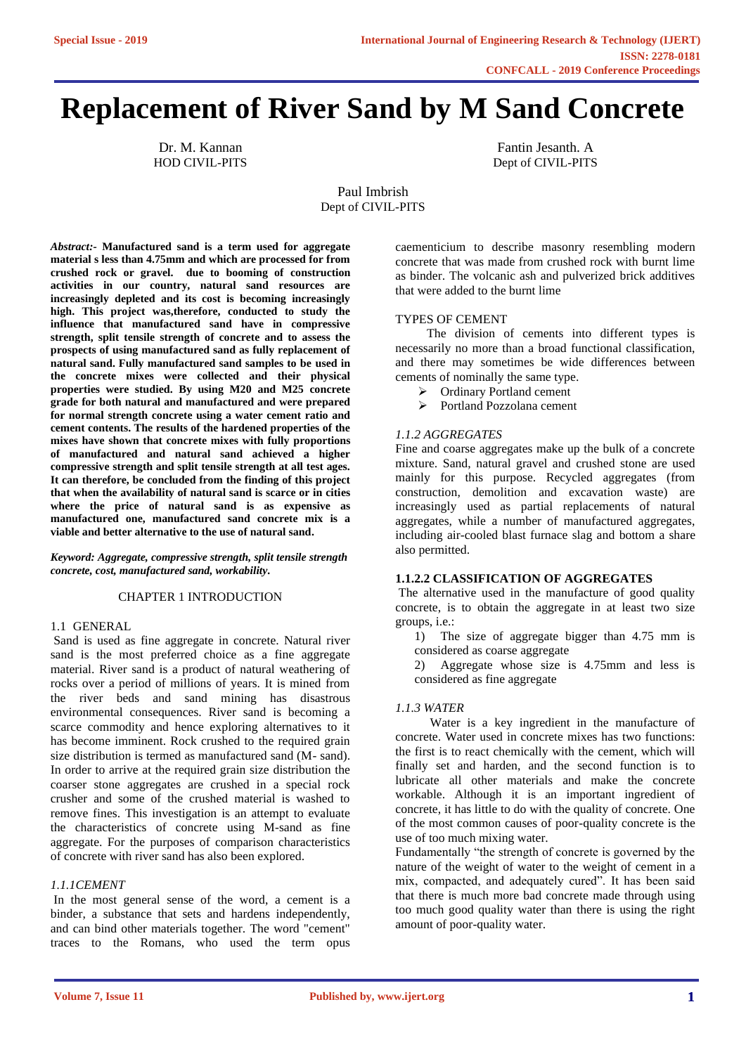# **Replacement of River Sand by M Sand Concrete**

Dr. M. Kannan HOD CIVIL-PITS

Fantin Jesanth. A Dept of CIVIL-PITS

Paul Imbrish Dept of CIVIL-PITS

*Abstract:-* **Manufactured sand is a term used for aggregate material s less than 4.75mm and which are processed for from crushed rock or gravel. due to booming of construction activities in our country, natural sand resources are increasingly depleted and its cost is becoming increasingly high. This project was,therefore, conducted to study the influence that manufactured sand have in compressive strength, split tensile strength of concrete and to assess the prospects of using manufactured sand as fully replacement of natural sand. Fully manufactured sand samples to be used in the concrete mixes were collected and their physical properties were studied. By using M20 and M25 concrete grade for both natural and manufactured and were prepared for normal strength concrete using a water cement ratio and cement contents. The results of the hardened properties of the mixes have shown that concrete mixes with fully proportions of manufactured and natural sand achieved a higher compressive strength and split tensile strength at all test ages. It can therefore, be concluded from the finding of this project that when the availability of natural sand is scarce or in cities where the price of natural sand is as expensive as manufactured one, manufactured sand concrete mix is a viable and better alternative to the use of natural sand.**

*Keyword: Aggregate, compressive strength, split tensile strength concrete, cost, manufactured sand, workability.*

#### CHAPTER 1 INTRODUCTION

#### 1.1 GENERAL

Sand is used as fine aggregate in concrete. Natural river sand is the most preferred choice as a fine aggregate material. River sand is a product of natural weathering of rocks over a period of millions of years. It is mined from the river beds and sand mining has disastrous environmental consequences. River sand is becoming a scarce commodity and hence exploring alternatives to it has become imminent. Rock crushed to the required grain size distribution is termed as manufactured sand (M- sand). In order to arrive at the required grain size distribution the coarser stone aggregates are crushed in a special rock crusher and some of the crushed material is washed to remove fines. This investigation is an attempt to evaluate the characteristics of concrete using M-sand as fine aggregate. For the purposes of comparison characteristics of concrete with river sand has also been explored.

# *1.1.1CEMENT*

In the most general sense of the word, a cement is a binder, a substance that sets and hardens independently, and can bind other materials together. The word "cement" traces to the Romans, who used the term opus

caementicium to describe masonry resembling modern concrete that was made from crushed rock with burnt lime as binder. The volcanic ash and pulverized brick additives that were added to the burnt lime

### TYPES OF CEMENT

 The division of cements into different types is necessarily no more than a broad functional classification, and there may sometimes be wide differences between cements of nominally the same type.

- ➢ Ordinary Portland cement
- ➢ Portland Pozzolana cement

# *1.1.2 AGGREGATES*

Fine and coarse aggregates make up the bulk of a concrete mixture. [Sand,](http://en.wikipedia.org/wiki/Sand) natural gravel and [crushed stone](http://en.wikipedia.org/wiki/Crushed_stone) are used mainly for this purpose. Recycled aggregates (from construction, demolition and excavation waste) are increasingly used as partial replacements of natural aggregates, while a number of manufactured aggregates, including air-cooled [blast furnace](http://en.wikipedia.org/wiki/Blast_furnace) slag and [bottom a](http://en.wikipedia.org/wiki/Bottom_ash) [sha](http://en.wikipedia.org/wiki/Bottom_ash)re also permitted.

#### **1.1.2.2 CLASSIFICATION OF AGGREGATES**

The alternative used in the manufacture of good quality concrete, is to obtain the aggregate in at least two size groups, i.e.:

1) The size of aggregate bigger than 4.75 mm is considered as coarse aggregate

2) Aggregate whose size is 4.75mm and less is considered as fine aggregate

# *1.1.3 WATER*

 Water is a key ingredient in the manufacture of concrete. Water used in concrete mixes has two functions: the first is to react chemically with the cement, which will finally set and harden, and the second function is to lubricate all other materials and make the concrete workable. Although it is an important ingredient of concrete, it has little to do with the quality of concrete. One of the most common causes of poor-quality concrete is the use of too much mixing water.

Fundamentally "the strength of concrete is governed by the nature of the weight of water to the weight of cement in a mix, compacted, and adequately cured". It has been said that there is much more bad concrete made through using too much good quality water than there is using the right amount of poor-quality water.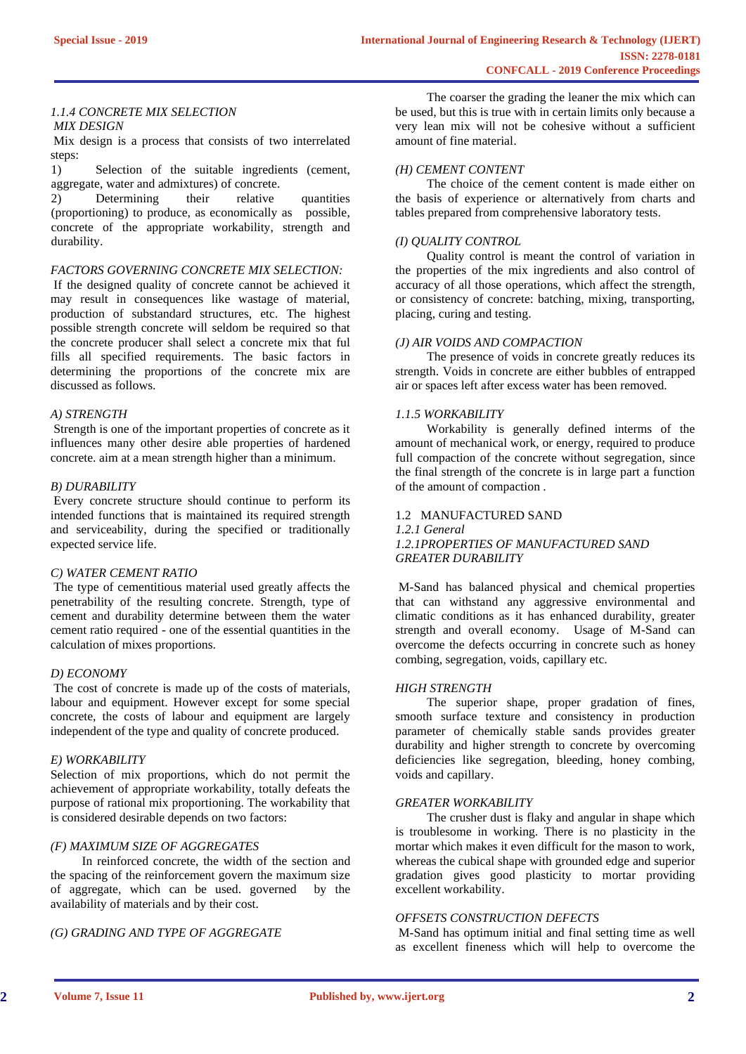#### *1.1.4 CONCRETE MIX SELECTION MIX DESIGN*

Mix design is a process that consists of two interrelated steps:

1) Selection of the suitable ingredients (cement, aggregate, water and admixtures) of concrete.

2) Determining their relative quantities (proportioning) to produce, as economically as possible, concrete of the appropriate workability, strength and durability.

#### *FACTORS GOVERNING CONCRETE MIX SELECTION:*

If the designed quality of concrete cannot be achieved it may result in consequences like wastage of material, production of substandard structures, etc. The highest possible strength concrete will seldom be required so that the concrete producer shall select a concrete mix that ful fills all specified requirements. The basic factors in determining the proportions of the concrete mix are discussed as follows.

### *A) STRENGTH*

Strength is one of the important properties of concrete as it influences many other desire able properties of hardened concrete. aim at a mean strength higher than a minimum.

# *B) DURABILITY*

Every concrete structure should continue to perform its intended functions that is maintained its required strength and serviceability, during the specified or traditionally expected service life.

#### *C) WATER CEMENT RATIO*

The type of cementitious material used greatly affects the penetrability of the resulting concrete. Strength, type of cement and durability determine between them the water cement ratio required - one of the essential quantities in the calculation of mixes proportions.

#### *D) ECONOMY*

The cost of concrete is made up of the costs of materials, labour and equipment. However except for some special concrete, the costs of labour and equipment are largely independent of the type and quality of concrete produced.

#### *E) WORKABILITY*

Selection of mix proportions, which do not permit the achievement of appropriate workability, totally defeats the purpose of rational mix proportioning. The workability that is considered desirable depends on two factors:

# *(F) MAXIMUM SIZE OF AGGREGATES*

 In reinforced concrete, the width of the section and the spacing of the reinforcement govern the maximum size of aggregate, which can be used. governed by the availability of materials and by their cost.

*(G) GRADING AND TYPE OF AGGREGATE* 

 The coarser the grading the leaner the mix which can be used, but this is true with in certain limits only because a very lean mix will not be cohesive without a sufficient amount of fine material.

#### *(H) CEMENT CONTENT*

 The choice of the cement content is made either on the basis of experience or alternatively from charts and tables prepared from comprehensive laboratory tests.

### *(I) QUALITY CONTROL*

 Quality control is meant the control of variation in the properties of the mix ingredients and also control of accuracy of all those operations, which affect the strength, or consistency of concrete: batching, mixing, transporting, placing, curing and testing.

#### *(J) AIR VOIDS AND COMPACTION*

 The presence of voids in concrete greatly reduces its strength. Voids in concrete are either bubbles of entrapped air or spaces left after excess water has been removed.

### *1.1.5 WORKABILITY*

 Workability is generally defined interms of the amount of mechanical work, or energy, required to produce full compaction of the concrete without segregation, since the final strength of the concrete is in large part a function of the amount of compaction .

#### 1.2 MANUFACTURED SAND

### *1.2.1 General 1.2.1PROPERTIES OF MANUFACTURED SAND GREATER DURABILITY*

M-Sand has balanced physical and chemical properties that can withstand any aggressive environmental and climatic conditions as it has enhanced durability, greater strength and overall economy. Usage of M-Sand can overcome the defects occurring in concrete such as honey combing, segregation, voids, capillary etc.

#### *HIGH STRENGTH*

 The superior shape, proper gradation of fines, smooth surface texture and consistency in production parameter of chemically stable sands provides greater durability and higher strength to concrete by overcoming deficiencies like segregation, bleeding, honey combing, voids and capillary.

#### *GREATER WORKABILITY*

 The crusher dust is flaky and angular in shape which is troublesome in working. There is no plasticity in the mortar which makes it even difficult for the mason to work, whereas the cubical shape with grounded edge and superior gradation gives good plasticity to mortar providing excellent workability.

### *OFFSETS CONSTRUCTION DEFECTS*

M-Sand has optimum initial and final setting time as well as excellent fineness which will help to overcome the

**2**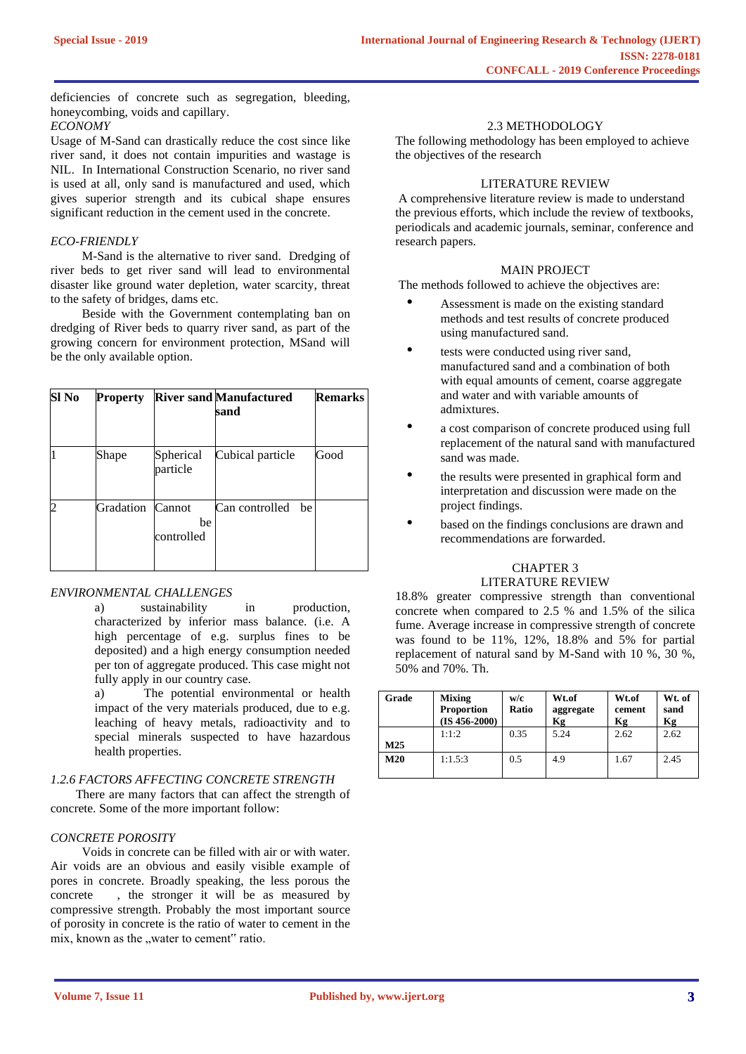deficiencies of concrete such as segregation, bleeding, honeycombing, voids and capillary.

# *ECONOMY*

Usage of M-Sand can drastically reduce the cost since like river sand, it does not contain impurities and wastage is NIL. In International Construction Scenario, no river sand is used at all, only sand is manufactured and used, which gives superior strength and its cubical shape ensures significant reduction in the cement used in the concrete.

# *ECO-FRIENDLY*

 M-Sand is the alternative to river sand. Dredging of river beds to get river sand will lead to environmental disaster like ground water depletion, water scarcity, threat to the safety of bridges, dams etc.

 Beside with the Government contemplating ban on dredging of River beds to quarry river sand, as part of the growing concern for environment protection, MSand will be the only available option.

| Sl <sub>No</sub> | <b>Property</b> |                            | <b>River sand Manufactured</b><br>sand | <b>Remarks</b> |
|------------------|-----------------|----------------------------|----------------------------------------|----------------|
|                  | Shape           | Spherical<br>particle      | Cubical particle                       | Good           |
|                  | Gradation       | Cannot<br>be<br>controlled | Can controlled<br>be                   |                |

# *ENVIRONMENTAL CHALLENGES*

a) sustainability in production, characterized by inferior mass balance. (i.e. A high percentage of e.g. surplus fines to be deposited) and a high energy consumption needed per ton of aggregate produced. This case might not fully apply in our country case.

a) The potential environmental or health impact of the very materials produced, due to e.g. leaching of heavy metals, radioactivity and to special minerals suspected to have hazardous health properties.

# *1.2.6 FACTORS AFFECTING CONCRETE STRENGTH*

 There are many factors that can affect the strength of concrete. Some of the more important follow:

# *CONCRETE POROSITY*

 Voids in concrete can be filled with air or with water. Air voids are an obvious and easily visible example of pores in concrete. Broadly speaking, the less porous the concrete , the stronger it will be as measured by compressive strength. Probably the most important source of porosity in concrete is the ratio of water to cement in the mix, known as the "water to cement" ratio.

#### 2.3 METHODOLOGY

The following methodology has been employed to achieve the objectives of the research

# LITERATURE REVIEW

A comprehensive literature review is made to understand the previous efforts, which include the review of textbooks, periodicals and academic journals, seminar, conference and research papers.

#### MAIN PROJECT

The methods followed to achieve the objectives are:

- Assessment is made on the existing standard methods and test results of concrete produced using manufactured sand.
- tests were conducted using river sand, manufactured sand and a combination of both with equal amounts of cement, coarse aggregate and water and with variable amounts of admixtures.
- a cost comparison of concrete produced using full replacement of the natural sand with manufactured sand was made.
- the results were presented in graphical form and interpretation and discussion were made on the project findings.
- based on the findings conclusions are drawn and recommendations are forwarded.

# CHAPTER 3 LITERATURE REVIEW

18.8% greater compressive strength than conventional concrete when compared to 2.5 % and 1.5% of the silica fume. Average increase in compressive strength of concrete was found to be 11%, 12%, 18.8% and 5% for partial replacement of natural sand by M-Sand with 10 %, 30 %, 50% and 70%. Th.

| Grade           | <b>Mixing</b><br><b>Proportion</b><br>$(IS 456-2000)$ | w/c<br>Ratio | Wt.of<br>aggregate<br>Kg | Wt.of<br>cement<br>Кg | Wt. of<br>sand<br>Кg |
|-----------------|-------------------------------------------------------|--------------|--------------------------|-----------------------|----------------------|
| M <sub>25</sub> | 1:1:2                                                 | 0.35         | 5.24                     | 2.62                  | 2.62                 |
|                 |                                                       |              |                          |                       |                      |
| M20             | 1:1.5:3                                               | 0.5          | 4.9                      | 1.67                  | 2.45                 |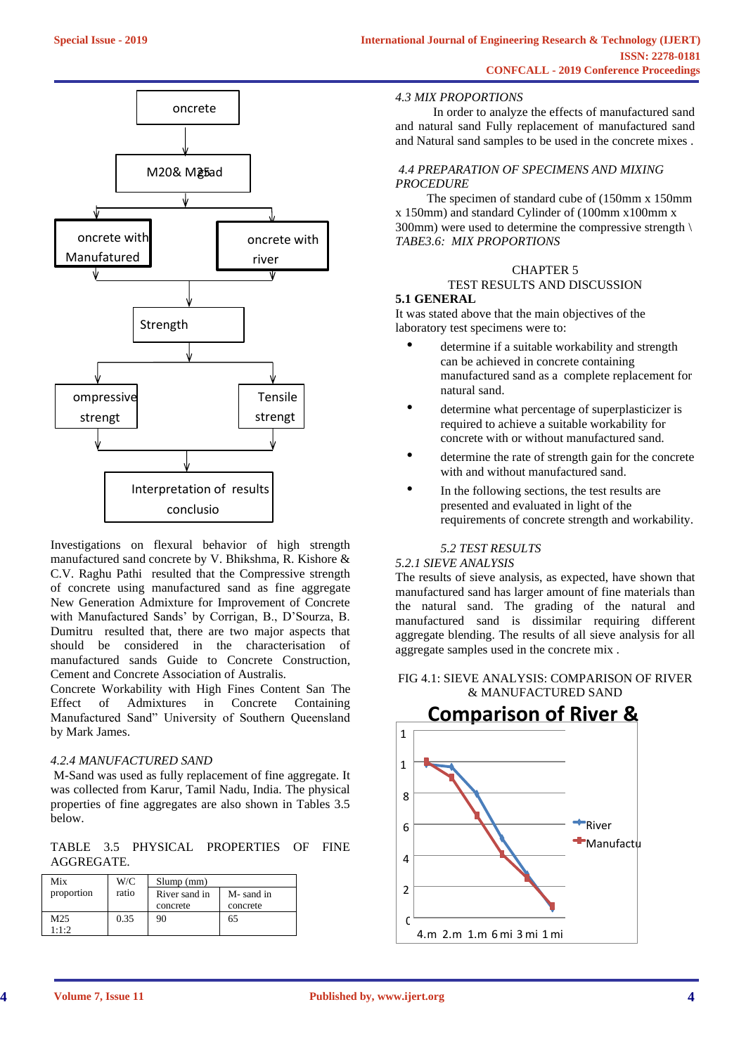

Investigations on flexural behavior of high strength n manufactured sand concrete by V. Bhikshma, R. Kishore & C.V. Raghu Pathi resulted that the Compressive strength of concrete using manufactured sand as fine aggregate New Generation Admixture for Improvement of Concrete with Manufactured Sands' by Corrigan, B., D'Sourza, B. Dumitru resulted that, there are two major aspects that should be considered in the characterisation of manufactured sands Guide to Concrete Construction, Cement and Concrete Association of Australis.

Concrete Workability with High Fines Content San The Effect of Admixtures in Concrete Containing Manufactured Sand" University of Southern Queensland by Mark James.

# *4.2.4 MANUFACTURED SAND*

M-Sand was used as fully replacement of fine aggregate. It was collected from Karur, Tamil Nadu, India. The physical properties of fine aggregates are also shown in Tables 3.5 below.

TABLE 3.5 PHYSICAL PROPERTIES OF FINE AGGREGATE.

| Mix             | W/C   | Slump(mm)     |           |  |  |
|-----------------|-------|---------------|-----------|--|--|
| proportion      | ratio | River sand in | M-sand in |  |  |
|                 |       | concrete      | concrete  |  |  |
| M <sub>25</sub> | 0.35  | 90            | 65        |  |  |
| 1:1:2           |       |               |           |  |  |

#### *4.3 MIX PROPORTIONS*

 In order to analyze the effects of manufactured sand and natural sand Fully replacement of manufactured sand and Natural sand samples to be used in the concrete mixes .

# *4.4 PREPARATION OF SPECIMENS AND MIXING PROCEDURE*

 The specimen of standard cube of (150mm x 150mm x 150mm) and standard Cylinder of (100mm x100mm x 300mm) were used to determine the compressive strength  $\setminus$ *TABE3.6: MIX PROPORTIONS* 

#### CHAPTER 5 TEST RESULTS AND DISCUSSION

# **5.1 GENERAL**

It was stated above that the main objectives of the laboratory test specimens were to:

- determine if a suitable workability and strength can be achieved in concrete containing manufactured sand as a complete replacement for natural sand.
- determine what percentage of superplasticizer is required to achieve a suitable workability for concrete with or without manufactured sand.
- determine the rate of strength gain for the concrete with and without manufactured sand.
- In the following sections, the test results are presented and evaluated in light of the requirements of concrete strength and workability.

# *5.2 TEST RESULTS*

# *5.2.1 SIEVE ANALYSIS*

The results of sieve analysis, as expected, have shown that manufactured sand has larger amount of fine materials than the natural sand. The grading of the natural and manufactured sand is dissimilar requiring different aggregate blending. The results of all sieve analysis for all aggregate samples used in the concrete mix .

## FIG 4.1: SIEVE ANALYSIS: COMPARISON OF RIVER & MANUFACTURED SAND



**4**